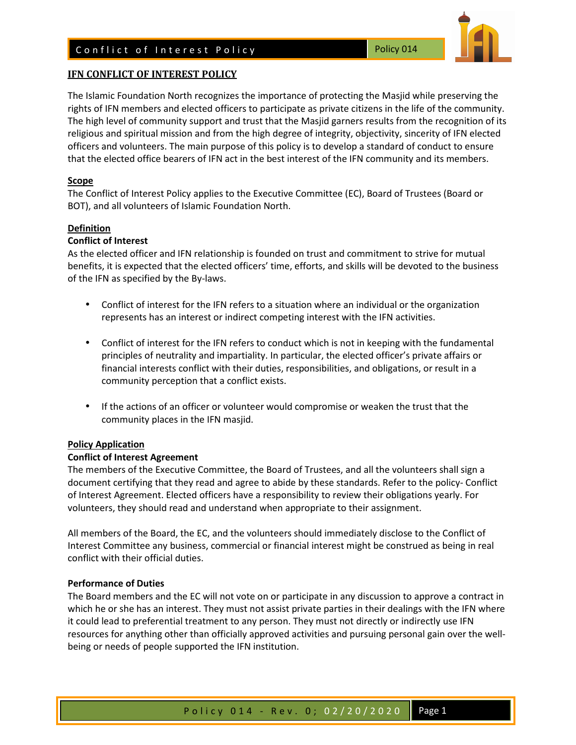

# **IFN CONFLICT OF INTEREST POLICY**

The Islamic Foundation North recognizes the importance of protecting the Masjid while preserving the rights of IFN members and elected officers to participate as private citizens in the life of the community. The high level of community support and trust that the Masjid garners results from the recognition of its religious and spiritual mission and from the high degree of integrity, objectivity, sincerity of IFN elected officers and volunteers. The main purpose of this policy is to develop a standard of conduct to ensure that the elected office bearers of IFN act in the best interest of the IFN community and its members.

# **Scope**

The Conflict of Interest Policy applies to the Executive Committee (EC), Board of Trustees (Board or BOT), and all volunteers of Islamic Foundation North.

# **Definition**

# **Conflict of Interest**

As the elected officer and IFN relationship is founded on trust and commitment to strive for mutual benefits, it is expected that the elected officers' time, efforts, and skills will be devoted to the business of the IFN as specified by the By-laws.

- Conflict of interest for the IFN refers to a situation where an individual or the organization represents has an interest or indirect competing interest with the IFN activities.
- Conflict of interest for the IFN refers to conduct which is not in keeping with the fundamental principles of neutrality and impartiality. In particular, the elected officer's private affairs or financial interests conflict with their duties, responsibilities, and obligations, or result in a community perception that a conflict exists.
- If the actions of an officer or volunteer would compromise or weaken the trust that the community places in the IFN masjid.

#### **Policy Application**

#### **Conflict of Interest Agreement**

The members of the Executive Committee, the Board of Trustees, and all the volunteers shall sign a document certifying that they read and agree to abide by these standards. Refer to the policy- Conflict of Interest Agreement. Elected officers have a responsibility to review their obligations yearly. For volunteers, they should read and understand when appropriate to their assignment.

All members of the Board, the EC, and the volunteers should immediately disclose to the Conflict of Interest Committee any business, commercial or financial interest might be construed as being in real conflict with their official duties.

#### **Performance of Duties**

The Board members and the EC will not vote on or participate in any discussion to approve a contract in which he or she has an interest. They must not assist private parties in their dealings with the IFN where it could lead to preferential treatment to any person. They must not directly or indirectly use IFN resources for anything other than officially approved activities and pursuing personal gain over the wellbeing or needs of people supported the IFN institution.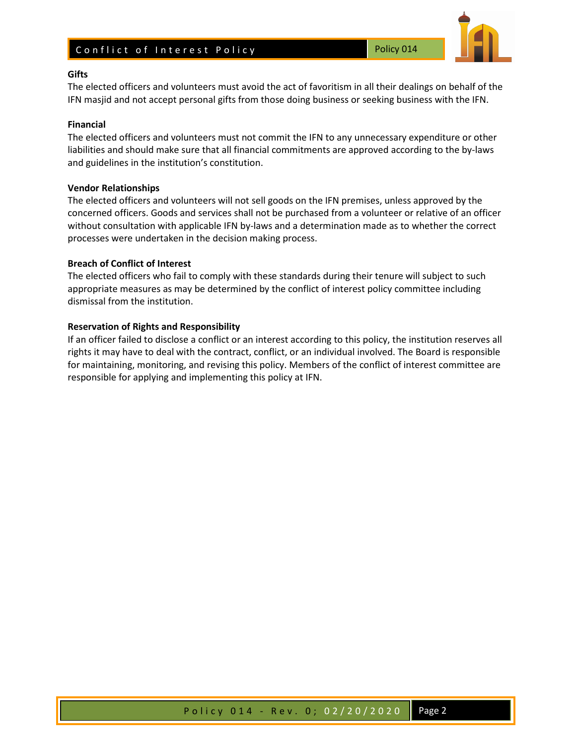# Conflict of Interest Policy November 2014



#### **Gifts**

The elected officers and volunteers must avoid the act of favoritism in all their dealings on behalf of the IFN masjid and not accept personal gifts from those doing business or seeking business with the IFN.

# **Financial**

The elected officers and volunteers must not commit the IFN to any unnecessary expenditure or other liabilities and should make sure that all financial commitments are approved according to the by-laws and guidelines in the institution's constitution.

## **Vendor Relationships**

The elected officers and volunteers will not sell goods on the IFN premises, unless approved by the concerned officers. Goods and services shall not be purchased from a volunteer or relative of an officer without consultation with applicable IFN by-laws and a determination made as to whether the correct processes were undertaken in the decision making process.

# **Breach of Conflict of Interest**

The elected officers who fail to comply with these standards during their tenure will subject to such appropriate measures as may be determined by the conflict of interest policy committee including dismissal from the institution.

# **Reservation of Rights and Responsibility**

If an officer failed to disclose a conflict or an interest according to this policy, the institution reserves all rights it may have to deal with the contract, conflict, or an individual involved. The Board is responsible for maintaining, monitoring, and revising this policy. Members of the conflict of interest committee are responsible for applying and implementing this policy at IFN.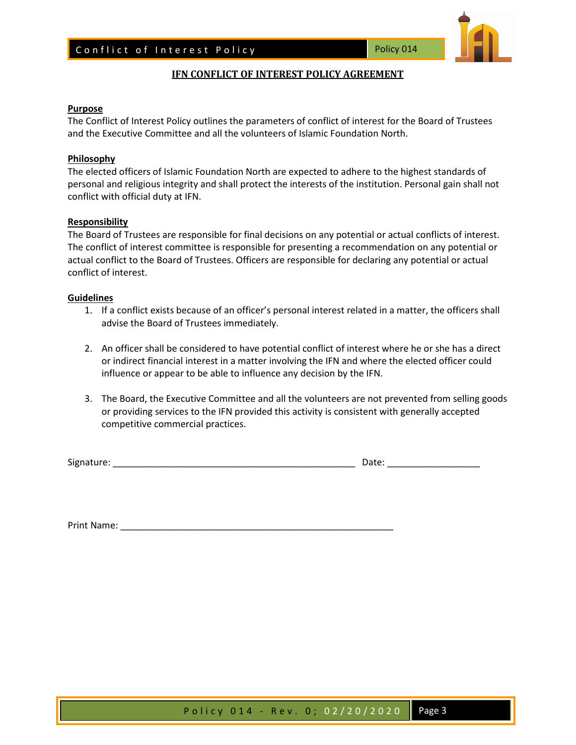

# **IFN CONFLICT OF INTEREST POLICY AGREEMENT**

#### **Purpose**

The Conflict of Interest Policy outlines the parameters of conflict of interest for the Board of Trustees and the Executive Committee and all the volunteers of Islamic Foundation North.

#### **Philosophy**

The elected officers of Islamic Foundation North are expected to adhere to the highest standards of personal and religious integrity and shall protect the interests of the institution. Personal gain shall not conflict with official duty at IFN.

#### **Responsibility**

The Board of Trustees are responsible for final decisions on any potential or actual conflicts of interest. The conflict of interest committee is responsible for presenting a recommendation on any potential or actual conflict to the Board of Trustees. Officers are responsible for declaring any potential or actual conflict of interest.

#### **Guidelines**

- 1. If a conflict exists because of an officer's personal interest related in a matter, the officers shall advise the Board of Trustees immediately.
- 2. An officer shall be considered to have potential conflict of interest where he or she has a direct or indirect financial interest in a matter involving the IFN and where the elected officer could influence or appear to be able to influence any decision by the IFN.
- 3. The Board, the Executive Committee and all the volunteers are not prevented from selling goods or providing services to the IFN provided this activity is consistent with generally accepted competitive commercial practices.

Signature: \_\_\_\_\_\_\_\_\_\_\_\_\_\_\_\_\_\_\_\_\_\_\_\_\_\_\_\_\_\_\_\_\_\_\_\_\_\_\_\_\_\_\_\_\_\_\_ Date: \_\_\_\_\_\_\_\_\_\_\_\_\_\_\_\_\_\_

Print Name: \_\_\_\_\_\_\_\_\_\_\_\_\_\_\_\_\_\_\_\_\_\_\_\_\_\_\_\_\_\_\_\_\_\_\_\_\_\_\_\_\_\_\_\_\_\_\_\_\_\_\_\_\_